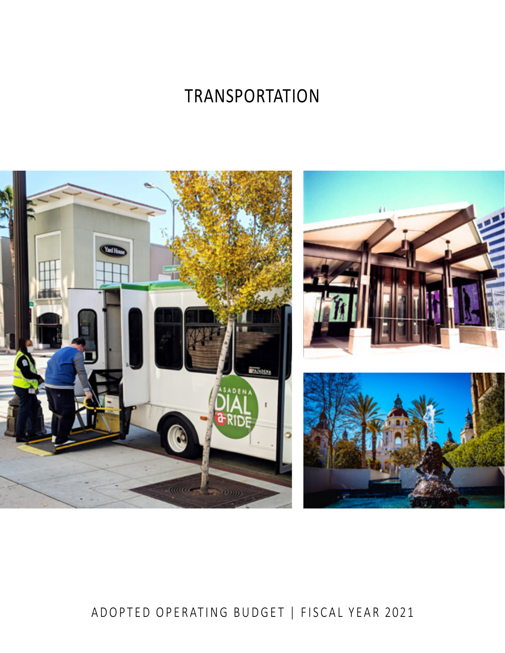# TRANSPORTATION



# ADOPTED OPERATING BUDGET | FISCAL YEAR 2021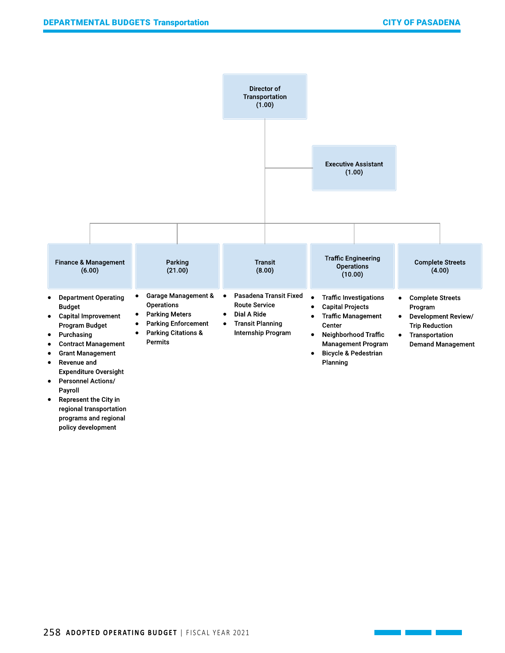

programs and regional policy development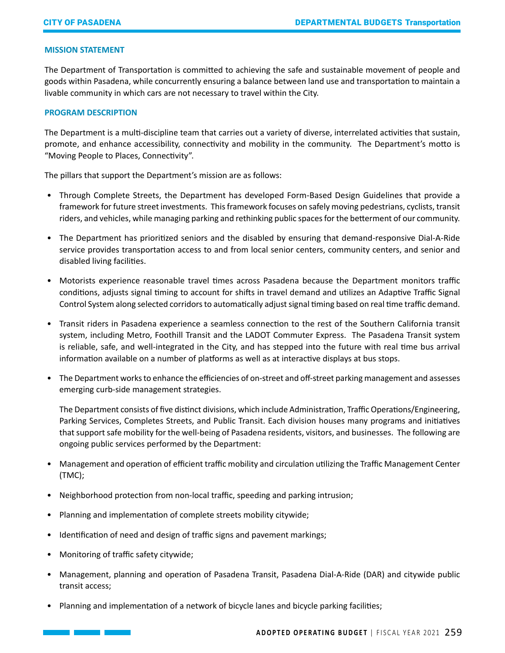## **MISSION STATEMENT**

The Department of Transportation is committed to achieving the safe and sustainable movement of people and goods within Pasadena, while concurrently ensuring a balance between land use and transportation to maintain a livable community in which cars are not necessary to travel within the City.

#### **PROGRAM DESCRIPTION**

The Department is a multi-discipline team that carries out a variety of diverse, interrelated activities that sustain, promote, and enhance accessibility, connectivity and mobility in the community. The Department's motto is "Moving People to Places, Connectivity".

The pillars that support the Department's mission are as follows:

- Through Complete Streets, the Department has developed Form-Based Design Guidelines that provide a framework for future street investments. This framework focuses on safely moving pedestrians, cyclists, transit riders, and vehicles, while managing parking and rethinking public spaces for the betterment of our community.
- The Department has prioritized seniors and the disabled by ensuring that demand-responsive Dial-A-Ride service provides transportation access to and from local senior centers, community centers, and senior and disabled living facilities.
- Motorists experience reasonable travel times across Pasadena because the Department monitors traffic conditions, adjusts signal timing to account for shifts in travel demand and utilizes an Adaptive Traffic Signal Control System along selected corridors to automatically adjust signal timing based on real time traffic demand.
- Transit riders in Pasadena experience a seamless connection to the rest of the Southern California transit system, including Metro, Foothill Transit and the LADOT Commuter Express. The Pasadena Transit system is reliable, safe, and well-integrated in the City, and has stepped into the future with real time bus arrival information available on a number of platforms as well as at interactive displays at bus stops.
- The Department works to enhance the efficiencies of on-street and off-street parking management and assesses emerging curb-side management strategies.

The Department consists of five distinct divisions, which include Administration, Traffic Operations/Engineering, Parking Services, Completes Streets, and Public Transit. Each division houses many programs and initiatives that support safe mobility for the well-being of Pasadena residents, visitors, and businesses. The following are ongoing public services performed by the Department:

- Management and operation of efficient traffic mobility and circulation utilizing the Traffic Management Center (TMC);
- Neighborhood protection from non-local traffic, speeding and parking intrusion;
- Planning and implementation of complete streets mobility citywide;
- Identification of need and design of traffic signs and pavement markings;
- Monitoring of traffic safety citywide;
- Management, planning and operation of Pasadena Transit, Pasadena Dial-A-Ride (DAR) and citywide public transit access;
- Planning and implementation of a network of bicycle lanes and bicycle parking facilities;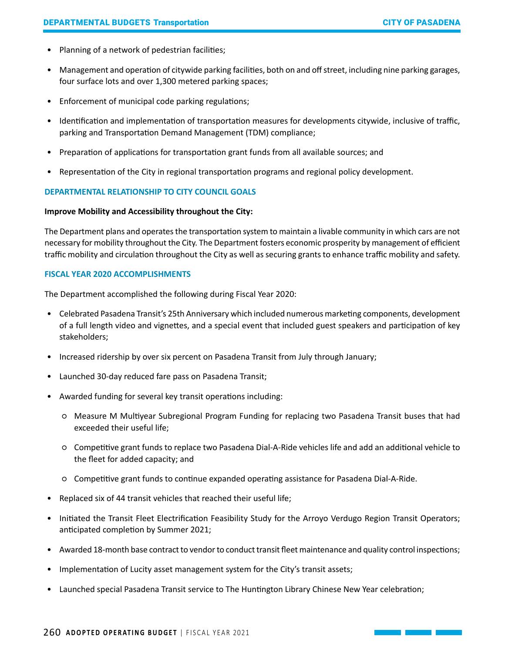- Planning of a network of pedestrian facilities;
- Management and operation of citywide parking facilities, both on and off street, including nine parking garages, four surface lots and over 1,300 metered parking spaces;
- Enforcement of municipal code parking regulations;
- Identification and implementation of transportation measures for developments citywide, inclusive of traffic, parking and Transportation Demand Management (TDM) compliance;
- Preparation of applications for transportation grant funds from all available sources; and
- Representation of the City in regional transportation programs and regional policy development.

# **DEPARTMENTAL RELATIONSHIP TO CITY COUNCIL GOALS**

# **Improve Mobility and Accessibility throughout the City:**

The Department plans and operates the transportation system to maintain a livable community in which cars are not necessary for mobility throughout the City. The Department fosters economic prosperity by management of efficient traffic mobility and circulation throughout the City as well as securing grants to enhance traffic mobility and safety.

# **FISCAL YEAR 2020 ACCOMPLISHMENTS**

The Department accomplished the following during Fiscal Year 2020:

- Celebrated Pasadena Transit's 25th Anniversary which included numerous marketing components, development of a full length video and vignettes, and a special event that included guest speakers and participation of key stakeholders;
- Increased ridership by over six percent on Pasadena Transit from July through January;
- Launched 30-day reduced fare pass on Pasadena Transit;
- Awarded funding for several key transit operations including:
	- Measure M Multiyear Subregional Program Funding for replacing two Pasadena Transit buses that had exceeded their useful life;
	- Competitive grant funds to replace two Pasadena Dial-A-Ride vehicles life and add an additional vehicle to the fleet for added capacity; and
	- Competitive grant funds to continue expanded operating assistance for Pasadena Dial-A-Ride.
- Replaced six of 44 transit vehicles that reached their useful life;
- Initiated the Transit Fleet Electrification Feasibility Study for the Arroyo Verdugo Region Transit Operators; anticipated completion by Summer 2021;
- Awarded 18-month base contract to vendor to conduct transit fleet maintenance and quality control inspections;
- Implementation of Lucity asset management system for the City's transit assets;
- Launched special Pasadena Transit service to The Huntington Library Chinese New Year celebration;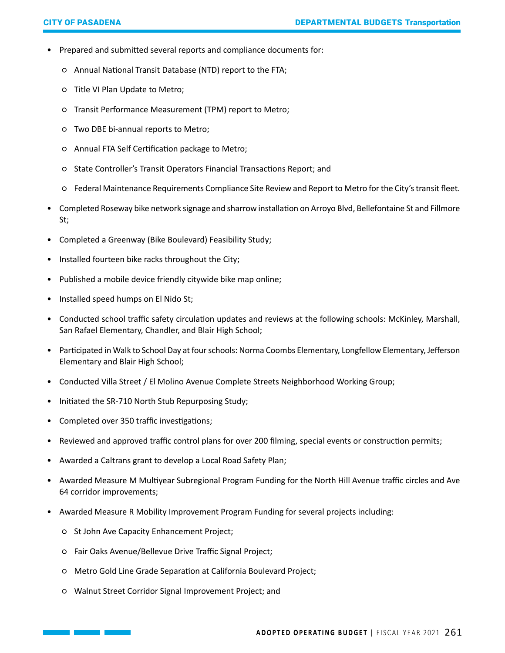- Prepared and submitted several reports and compliance documents for:
	- Annual National Transit Database (NTD) report to the FTA;
	- Title VI Plan Update to Metro;
	- Transit Performance Measurement (TPM) report to Metro;
	- Two DBE bi-annual reports to Metro;
	- Annual FTA Self Certification package to Metro;
	- State Controller's Transit Operators Financial Transactions Report; and
	- Federal Maintenance Requirements Compliance Site Review and Report to Metro for the City's transit fleet.
- Completed Roseway bike network signage and sharrow installation on Arroyo Blvd, Bellefontaine St and Fillmore St;
- Completed a Greenway (Bike Boulevard) Feasibility Study;
- Installed fourteen bike racks throughout the City;
- Published a mobile device friendly citywide bike map online;
- Installed speed humps on El Nido St;
- Conducted school traffic safety circulation updates and reviews at the following schools: McKinley, Marshall, San Rafael Elementary, Chandler, and Blair High School;
- Participated in Walk to School Day at four schools: Norma Coombs Elementary, Longfellow Elementary, Jefferson Elementary and Blair High School;
- Conducted Villa Street / El Molino Avenue Complete Streets Neighborhood Working Group;
- Initiated the SR-710 North Stub Repurposing Study;
- Completed over 350 traffic investigations;
- Reviewed and approved traffic control plans for over 200 filming, special events or construction permits;
- Awarded a Caltrans grant to develop a Local Road Safety Plan;
- Awarded Measure M Multiyear Subregional Program Funding for the North Hill Avenue traffic circles and Ave 64 corridor improvements;
- Awarded Measure R Mobility Improvement Program Funding for several projects including:
	- St John Ave Capacity Enhancement Project;
	- Fair Oaks Avenue/Bellevue Drive Traffic Signal Project;
	- Metro Gold Line Grade Separation at California Boulevard Project;
	- Walnut Street Corridor Signal Improvement Project; and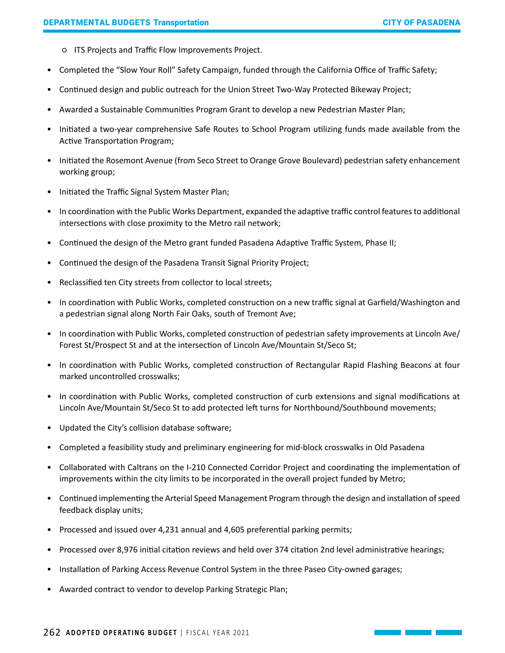- ITS Projects and Traffic Flow Improvements Project.
- Completed the "Slow Your Roll" Safety Campaign, funded through the California Office of Traffic Safety;
- Continued design and public outreach for the Union Street Two-Way Protected Bikeway Project;
- Awarded a Sustainable Communities Program Grant to develop a new Pedestrian Master Plan;
- Initiated a two-year comprehensive Safe Routes to School Program utilizing funds made available from the Active Transportation Program;
- Initiated the Rosemont Avenue (from Seco Street to Orange Grove Boulevard) pedestrian safety enhancement working group;
- Initiated the Traffic Signal System Master Plan;
- In coordination with the Public Works Department, expanded the adaptive traffic control features to additional intersections with close proximity to the Metro rail network;
- Continued the design of the Metro grant funded Pasadena Adaptive Traffic System, Phase II;
- Continued the design of the Pasadena Transit Signal Priority Project;
- Reclassified ten City streets from collector to local streets;
- In coordination with Public Works, completed construction on a new traffic signal at Garfield/Washington and a pedestrian signal along North Fair Oaks, south of Tremont Ave;
- In coordination with Public Works, completed construction of pedestrian safety improvements at Lincoln Ave/ Forest St/Prospect St and at the intersection of Lincoln Ave/Mountain St/Seco St;
- In coordination with Public Works, completed construction of Rectangular Rapid Flashing Beacons at four marked uncontrolled crosswalks;
- In coordination with Public Works, completed construction of curb extensions and signal modifications at Lincoln Ave/Mountain St/Seco St to add protected left turns for Northbound/Southbound movements;
- Updated the City's collision database software;
- Completed a feasibility study and preliminary engineering for mid-block crosswalks in Old Pasadena
- Collaborated with Caltrans on the I-210 Connected Corridor Project and coordinating the implementation of improvements within the city limits to be incorporated in the overall project funded by Metro;
- Continued implementing the Arterial Speed Management Program through the design and installation of speed feedback display units;
- Processed and issued over 4,231 annual and 4,605 preferential parking permits;
- Processed over 8,976 initial citation reviews and held over 374 citation 2nd level administrative hearings;
- Installation of Parking Access Revenue Control System in the three Paseo City-owned garages;
- Awarded contract to vendor to develop Parking Strategic Plan;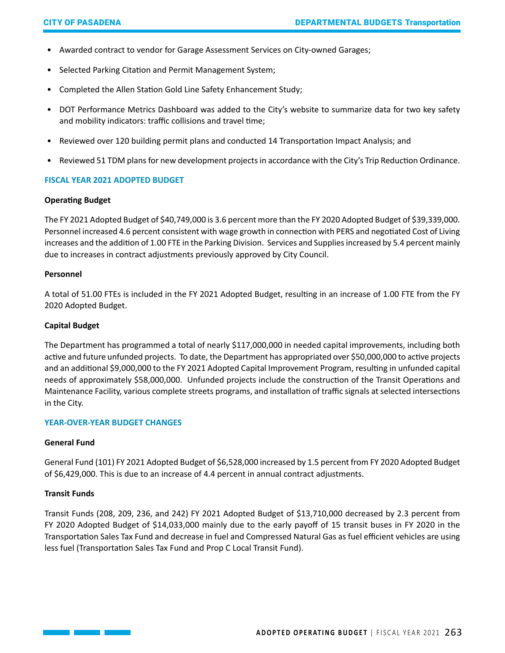- Awarded contract to vendor for Garage Assessment Services on City-owned Garages;
- Selected Parking Citation and Permit Management System;
- Completed the Allen Station Gold Line Safety Enhancement Study;
- DOT Performance Metrics Dashboard was added to the City's website to summarize data for two key safety and mobility indicators: traffic collisions and travel time;
- Reviewed over 120 building permit plans and conducted 14 Transportation Impact Analysis; and
- Reviewed 51 TDM plans for new development projects in accordance with the City's Trip Reduction Ordinance.

#### **FISCAL YEAR 2021 ADOPTED BUDGET**

#### **Operating Budget**

The FY 2021 Adopted Budget of \$40,749,000 is 3.6 percent more than the FY 2020 Adopted Budget of \$39,339,000. Personnel increased 4.6 percent consistent with wage growth in connection with PERS and negotiated Cost of Living increases and the addition of 1.00 FTE in the Parking Division. Services and Supplies increased by 5.4 percent mainly due to increases in contract adjustments previously approved by City Council.

#### **Personnel**

A total of 51.00 FTEs is included in the FY 2021 Adopted Budget, resulting in an increase of 1.00 FTE from the FY 2020 Adopted Budget.

#### **Capital Budget**

The Department has programmed a total of nearly \$117,000,000 in needed capital improvements, including both active and future unfunded projects. To date, the Department has appropriated over \$50,000,000 to active projects and an additional \$9,000,000 to the FY 2021 Adopted Capital Improvement Program, resulting in unfunded capital needs of approximately \$58,000,000. Unfunded projects include the construction of the Transit Operations and Maintenance Facility, various complete streets programs, and installation of traffic signals at selected intersections in the City.

#### **YEAR-OVER-YEAR BUDGET CHANGES**

## **General Fund**

General Fund (101) FY 2021 Adopted Budget of \$6,528,000 increased by 1.5 percent from FY 2020 Adopted Budget of \$6,429,000. This is due to an increase of 4.4 percent in annual contract adjustments.

#### **Transit Funds**

Transit Funds (208, 209, 236, and 242) FY 2021 Adopted Budget of \$13,710,000 decreased by 2.3 percent from FY 2020 Adopted Budget of \$14,033,000 mainly due to the early payoff of 15 transit buses in FY 2020 in the Transportation Sales Tax Fund and decrease in fuel and Compressed Natural Gas as fuel efficient vehicles are using less fuel (Transportation Sales Tax Fund and Prop C Local Transit Fund).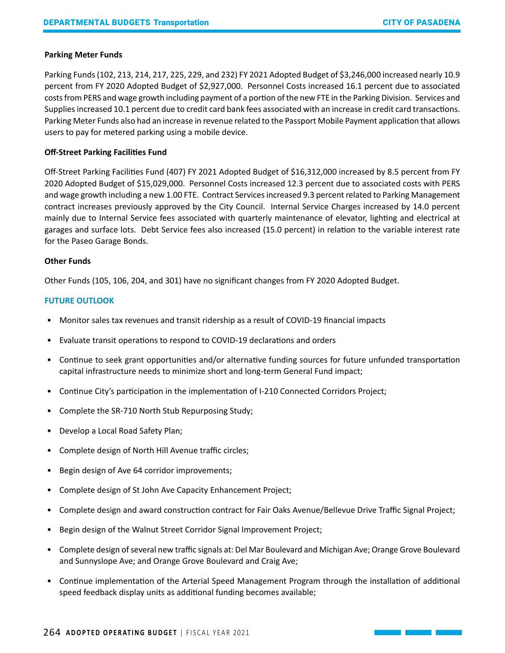# **Parking Meter Funds**

Parking Funds (102, 213, 214, 217, 225, 229, and 232) FY 2021 Adopted Budget of \$3,246,000 increased nearly 10.9 percent from FY 2020 Adopted Budget of \$2,927,000. Personnel Costs increased 16.1 percent due to associated costs from PERS and wage growth including payment of a portion of the new FTE in the Parking Division. Services and Supplies increased 10.1 percent due to credit card bank fees associated with an increase in credit card transactions. Parking Meter Funds also had an increase in revenue related to the Passport Mobile Payment application that allows users to pay for metered parking using a mobile device.

# **Off-Street Parking Facilities Fund**

Off-Street Parking Facilities Fund (407) FY 2021 Adopted Budget of \$16,312,000 increased by 8.5 percent from FY 2020 Adopted Budget of \$15,029,000. Personnel Costs increased 12.3 percent due to associated costs with PERS and wage growth including a new 1.00 FTE. Contract Services increased 9.3 percent related to Parking Management contract increases previously approved by the City Council. Internal Service Charges increased by 14.0 percent mainly due to Internal Service fees associated with quarterly maintenance of elevator, lighting and electrical at garages and surface lots. Debt Service fees also increased (15.0 percent) in relation to the variable interest rate for the Paseo Garage Bonds.

# **Other Funds**

Other Funds (105, 106, 204, and 301) have no significant changes from FY 2020 Adopted Budget.

# **FUTURE OUTLOOK**

- Monitor sales tax revenues and transit ridership as a result of COVID-19 financial impacts
- Evaluate transit operations to respond to COVID-19 declarations and orders
- Continue to seek grant opportunities and/or alternative funding sources for future unfunded transportation capital infrastructure needs to minimize short and long-term General Fund impact;
- Continue City's participation in the implementation of I-210 Connected Corridors Project;
- Complete the SR-710 North Stub Repurposing Study;
- Develop a Local Road Safety Plan;
- Complete design of North Hill Avenue traffic circles;
- Begin design of Ave 64 corridor improvements;
- Complete design of St John Ave Capacity Enhancement Project;
- Complete design and award construction contract for Fair Oaks Avenue/Bellevue Drive Traffic Signal Project;
- Begin design of the Walnut Street Corridor Signal Improvement Project;
- Complete design of several new traffic signals at: Del Mar Boulevard and Michigan Ave; Orange Grove Boulevard and Sunnyslope Ave; and Orange Grove Boulevard and Craig Ave;
- Continue implementation of the Arterial Speed Management Program through the installation of additional speed feedback display units as additional funding becomes available;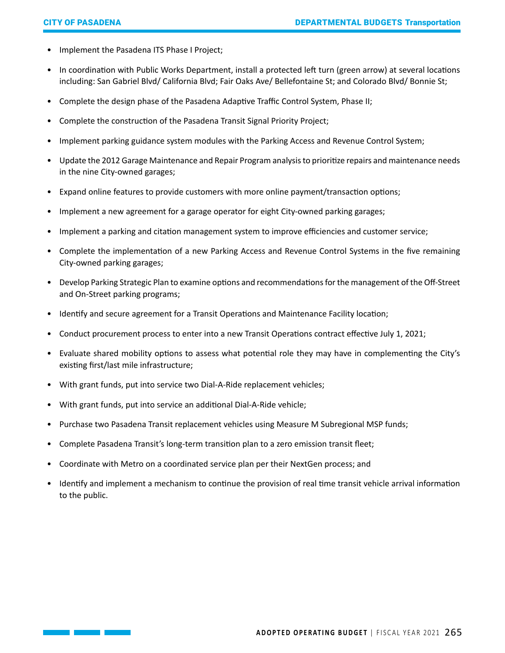- Implement the Pasadena ITS Phase I Project;
- In coordination with Public Works Department, install a protected left turn (green arrow) at several locations including: San Gabriel Blvd/ California Blvd; Fair Oaks Ave/ Bellefontaine St; and Colorado Blvd/ Bonnie St;
- Complete the design phase of the Pasadena Adaptive Traffic Control System, Phase II;
- Complete the construction of the Pasadena Transit Signal Priority Project;
- Implement parking guidance system modules with the Parking Access and Revenue Control System;
- Update the 2012 Garage Maintenance and Repair Program analysis to prioritize repairs and maintenance needs in the nine City-owned garages;
- Expand online features to provide customers with more online payment/transaction options;
- Implement a new agreement for a garage operator for eight City-owned parking garages;
- Implement a parking and citation management system to improve efficiencies and customer service;
- Complete the implementation of a new Parking Access and Revenue Control Systems in the five remaining City-owned parking garages;
- Develop Parking Strategic Plan to examine options and recommendations for the management of the Off-Street and On-Street parking programs;
- Identify and secure agreement for a Transit Operations and Maintenance Facility location;
- Conduct procurement process to enter into a new Transit Operations contract effective July 1, 2021;
- Evaluate shared mobility options to assess what potential role they may have in complementing the City's existing first/last mile infrastructure;
- With grant funds, put into service two Dial-A-Ride replacement vehicles;
- With grant funds, put into service an additional Dial-A-Ride vehicle;
- Purchase two Pasadena Transit replacement vehicles using Measure M Subregional MSP funds;
- Complete Pasadena Transit's long-term transition plan to a zero emission transit fleet;
- Coordinate with Metro on a coordinated service plan per their NextGen process; and
- Identify and implement a mechanism to continue the provision of real time transit vehicle arrival information to the public.